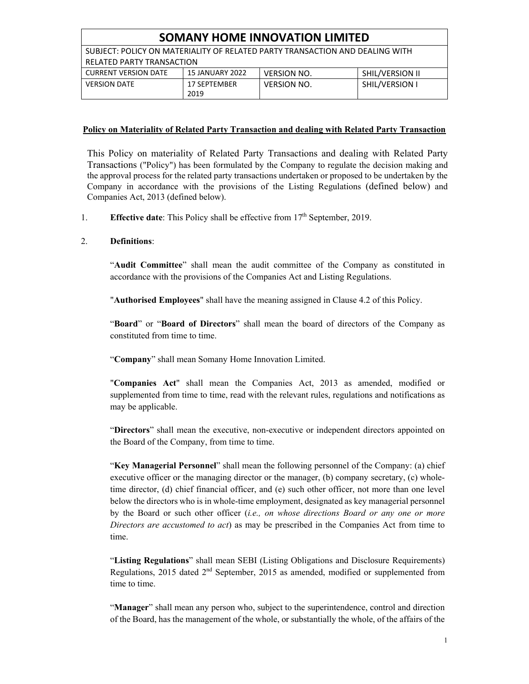| <b>SOMANY HOME INNOVATION LIMITED</b>                                        |                        |                    |                       |  |
|------------------------------------------------------------------------------|------------------------|--------------------|-----------------------|--|
| SUBJECT: POLICY ON MATERIALITY OF RELATED PARTY TRANSACTION AND DEALING WITH |                        |                    |                       |  |
| <b>RELATED PARTY TRANSACTION</b>                                             |                        |                    |                       |  |
| <b>CURRENT VERSION DATE</b>                                                  | <b>15 JANUARY 2022</b> | <b>VERSION NO.</b> | SHIL/VERSION II       |  |
| <b>VERSION DATE</b>                                                          | 17 SEPTEMBER<br>2019   | <b>VERSION NO.</b> | <b>SHIL/VERSION I</b> |  |

#### **Policy on Materiality of Related Party Transaction and dealing with Related Party Transaction**

This Policy on materiality of Related Party Transactions and dealing with Related Party Transactions ("Policy") has been formulated by the Company to regulate the decision making and the approval process for the related party transactions undertaken or proposed to be undertaken by the Company in accordance with the provisions of the Listing Regulations (defined below) and Companies Act, 2013 (defined below).

1. **Effective date**: This Policy shall be effective from  $17<sup>th</sup>$  September, 2019.

#### 2. **Definitions**:

"**Audit Committee**" shall mean the audit committee of the Company as constituted in accordance with the provisions of the Companies Act and Listing Regulations.

"**Authorised Employees**" shall have the meaning assigned in Clause 4.2 of this Policy.

"**Board**" or "**Board of Directors**" shall mean the board of directors of the Company as constituted from time to time.

"**Company**" shall mean Somany Home Innovation Limited.

"**Companies Act**" shall mean the Companies Act, 2013 as amended, modified or supplemented from time to time, read with the relevant rules, regulations and notifications as may be applicable.

"**Directors**" shall mean the executive, non-executive or independent directors appointed on the Board of the Company, from time to time.

"**Key Managerial Personnel**" shall mean the following personnel of the Company: (a) chief executive officer or the managing director or the manager, (b) company secretary, (c) wholetime director, (d) chief financial officer, and (e) such other officer, not more than one level below the directors who is in whole-time employment, designated as key managerial personnel by the Board or such other officer (*i.e., on whose directions Board or any one or more Directors are accustomed to act*) as may be prescribed in the Companies Act from time to time.

"**Listing Regulations**" shall mean SEBI (Listing Obligations and Disclosure Requirements) Regulations, 2015 dated 2<sup>nd</sup> September, 2015 as amended, modified or supplemented from time to time.

"**Manager**" shall mean any person who, subject to the superintendence, control and direction of the Board, has the management of the whole, or substantially the whole, of the affairs of the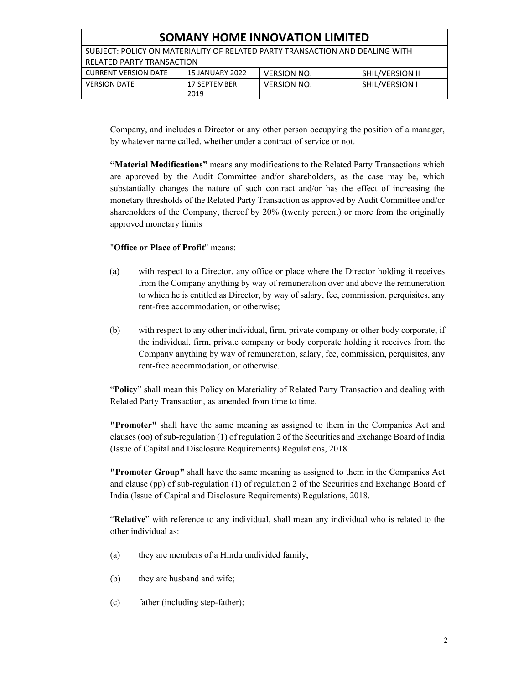| <b>SOMANY HOME INNOVATION LIMITED</b>                                              |                        |                    |                 |  |
|------------------------------------------------------------------------------------|------------------------|--------------------|-----------------|--|
| SUBJECT: POLICY ON MATERIALITY OF RELATED PARTY TRANSACTION AND DEALING WITH       |                        |                    |                 |  |
| <b>RELATED PARTY TRANSACTION</b>                                                   |                        |                    |                 |  |
| <b>CURRENT VERSION DATE</b>                                                        | <b>15 JANUARY 2022</b> | <b>VERSION NO.</b> | SHIL/VERSION II |  |
| <b>SHIL/VERSION I</b><br><b>VERSION DATE</b><br>17 SEPTEMBER<br><b>VERSION NO.</b> |                        |                    |                 |  |
|                                                                                    | 2019                   |                    |                 |  |

Company, and includes a Director or any other person occupying the position of a manager, by whatever name called, whether under a contract of service or not.

**"Material Modifications"** means any modifications to the Related Party Transactions which are approved by the Audit Committee and/or shareholders, as the case may be, which substantially changes the nature of such contract and/or has the effect of increasing the monetary thresholds of the Related Party Transaction as approved by Audit Committee and/or shareholders of the Company, thereof by 20% (twenty percent) or more from the originally approved monetary limits

#### "**Office or Place of Profit**" means:

- (a) with respect to a Director, any office or place where the Director holding it receives from the Company anything by way of remuneration over and above the remuneration to which he is entitled as Director, by way of salary, fee, commission, perquisites, any rent-free accommodation, or otherwise;
- (b) with respect to any other individual, firm, private company or other body corporate, if the individual, firm, private company or body corporate holding it receives from the Company anything by way of remuneration, salary, fee, commission, perquisites, any rent-free accommodation, or otherwise.

"**Policy**" shall mean this Policy on Materiality of Related Party Transaction and dealing with Related Party Transaction, as amended from time to time.

**"Promoter"** shall have the same meaning as assigned to them in the Companies Act and clauses (oo) of sub-regulation (1) of regulation 2 of the Securities and Exchange Board of India (Issue of Capital and Disclosure Requirements) Regulations, 2018.

**"Promoter Group"** shall have the same meaning as assigned to them in the Companies Act and clause (pp) of sub-regulation (1) of regulation 2 of the Securities and Exchange Board of India (Issue of Capital and Disclosure Requirements) Regulations, 2018.

"**Relative**" with reference to any individual, shall mean any individual who is related to the other individual as:

- (a) they are members of a Hindu undivided family,
- (b) they are husband and wife;
- (c) father (including step-father);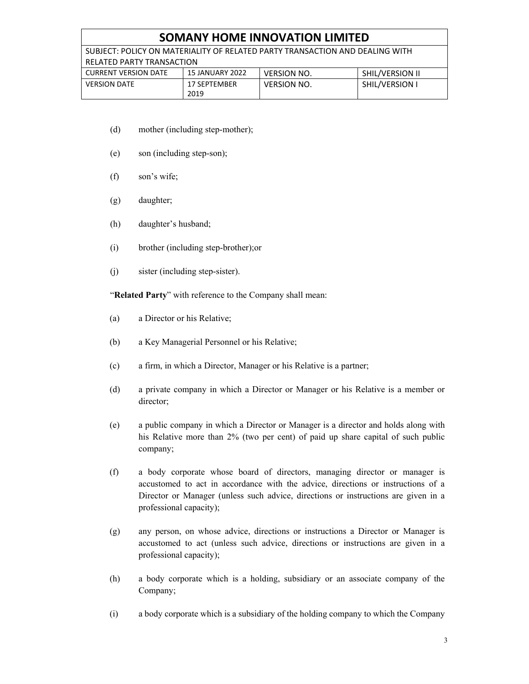# **SOMANY HOME INNOVATION LIMITED**

SUBJECT: POLICY ON MATERIALITY OF RELATED PARTY TRANSACTION AND DEALING WITH RELATED PARTY TRANSACTION

| <b>CURRENT VERSION DATE</b> | 15 JANUARY 2022             | <b>VERSION NO.</b> | <b>SHIL/VERSION II</b> |
|-----------------------------|-----------------------------|--------------------|------------------------|
| <b>VERSION DATE</b>         | <b>17 SEPTEMBER</b><br>2019 | <b>VERSION NO.</b> | SHIL/VERSION I         |

- (d) mother (including step-mother);
- (e) son (including step-son);
- (f) son's wife;
- (g) daughter;
- (h) daughter's husband;
- (i) brother (including step-brother);or
- (j) sister (including step-sister).

"**Related Party**" with reference to the Company shall mean:

- (a) a Director or his Relative;
- (b) a Key Managerial Personnel or his Relative;
- (c) a firm, in which a Director, Manager or his Relative is a partner;
- (d) a private company in which a Director or Manager or his Relative is a member or director;
- (e) a public company in which a Director or Manager is a director and holds along with his Relative more than 2% (two per cent) of paid up share capital of such public company;
- (f) a body corporate whose board of directors, managing director or manager is accustomed to act in accordance with the advice, directions or instructions of a Director or Manager (unless such advice, directions or instructions are given in a professional capacity);
- (g) any person, on whose advice, directions or instructions a Director or Manager is accustomed to act (unless such advice, directions or instructions are given in a professional capacity);
- (h) a body corporate which is a holding, subsidiary or an associate company of the Company;
- (i) a body corporate which is a subsidiary of the holding company to which the Company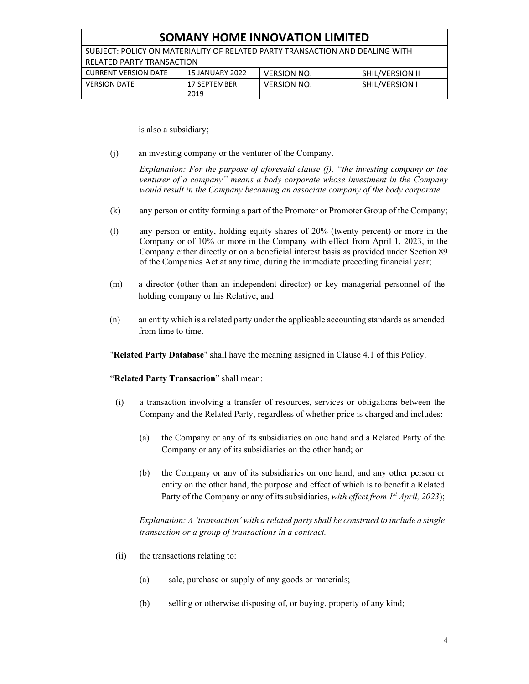| <b>SOMANY HOME INNOVATION LIMITED</b>                                        |                      |                    |                 |  |
|------------------------------------------------------------------------------|----------------------|--------------------|-----------------|--|
| SUBJECT: POLICY ON MATERIALITY OF RELATED PARTY TRANSACTION AND DEALING WITH |                      |                    |                 |  |
| RELATED PARTY TRANSACTION                                                    |                      |                    |                 |  |
| <b>CURRENT VERSION DATE</b>                                                  | 15 JANUARY 2022      | <b>VERSION NO.</b> | SHIL/VERSION II |  |
| <b>VERSION DATE</b>                                                          | 17 SEPTEMBER<br>2019 | <b>VERSION NO.</b> | SHIL/VERSION I  |  |

is also a subsidiary;

(j) an investing company or the venturer of the Company.

*Explanation: For the purpose of aforesaid clause (j), "the investing company or the venturer of a company" means a body corporate whose investment in the Company would result in the Company becoming an associate company of the body corporate.* 

- (k) any person or entity forming a part of the Promoter or Promoter Group of the Company;
- (l) any person or entity, holding equity shares of 20% (twenty percent) or more in the Company or of 10% or more in the Company with effect from April 1, 2023, in the Company either directly or on a beneficial interest basis as provided under Section 89 of the Companies Act at any time, during the immediate preceding financial year;
- (m) a director (other than an independent director) or key managerial personnel of the holding company or his Relative; and
- (n) an entity which is a related party under the applicable accounting standards as amended from time to time.

"**Related Party Database**" shall have the meaning assigned in Clause 4.1 of this Policy.

"**Related Party Transaction**" shall mean:

- (i) a transaction involving a transfer of resources, services or obligations between the Company and the Related Party, regardless of whether price is charged and includes:
	- (a) the Company or any of its subsidiaries on one hand and a Related Party of the Company or any of its subsidiaries on the other hand; or
	- (b) the Company or any of its subsidiaries on one hand, and any other person or entity on the other hand, the purpose and effect of which is to benefit a Related Party of the Company or any of its subsidiaries, *with effect from 1<sup>st</sup> April, 2023*);

*Explanation: A 'transaction' with a related party shall be construed to include a single transaction or a group of transactions in a contract.* 

- (ii) the transactions relating to:
	- (a) sale, purchase or supply of any goods or materials;
	- (b) selling or otherwise disposing of, or buying, property of any kind;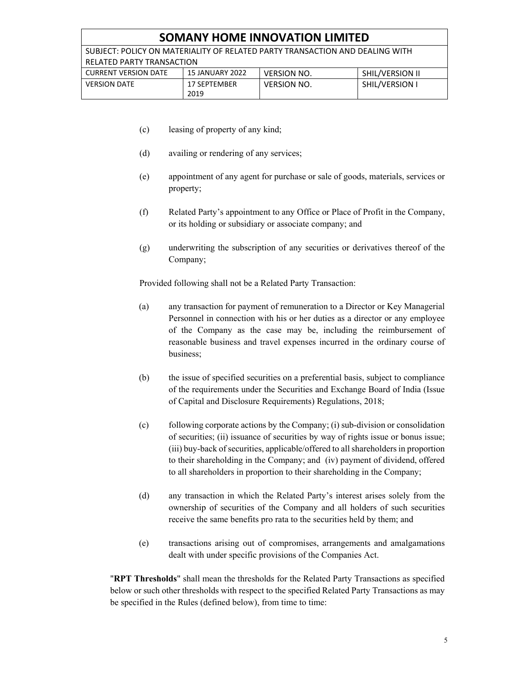# **SOMANY HOME INNOVATION LIMITED**

SUBJECT: POLICY ON MATERIALITY OF RELATED PARTY TRANSACTION AND DEALING WITH RELATED PARTY TRANSACTION

| <b>CURRENT VERSION DATE</b> | <b>15 JANUARY 2022</b> | VERSION NO.        | <b>SHIL/VERSION II</b> |
|-----------------------------|------------------------|--------------------|------------------------|
| <b>VERSION DATE</b>         | 17 SEPTEMBER<br>2019   | <b>VERSION NO.</b> | SHIL/VERSION I         |

- (c) leasing of property of any kind;
- (d) availing or rendering of any services;
- (e) appointment of any agent for purchase or sale of goods, materials, services or property;
- (f) Related Party's appointment to any Office or Place of Profit in the Company, or its holding or subsidiary or associate company; and
- (g) underwriting the subscription of any securities or derivatives thereof of the Company;

Provided following shall not be a Related Party Transaction:

- (a) any transaction for payment of remuneration to a Director or Key Managerial Personnel in connection with his or her duties as a director or any employee of the Company as the case may be, including the reimbursement of reasonable business and travel expenses incurred in the ordinary course of business;
- (b) the issue of specified securities on a preferential basis, subject to compliance of the requirements under the Securities and Exchange Board of India (Issue of Capital and Disclosure Requirements) Regulations, 2018;
- (c) following corporate actions by the Company; (i) sub-division or consolidation of securities; (ii) issuance of securities by way of rights issue or bonus issue; (iii) buy-back of securities, applicable/offered to all shareholders in proportion to their shareholding in the Company; and (iv) payment of dividend, offered to all shareholders in proportion to their shareholding in the Company;
- (d) any transaction in which the Related Party's interest arises solely from the ownership of securities of the Company and all holders of such securities receive the same benefits pro rata to the securities held by them; and
- (e) transactions arising out of compromises, arrangements and amalgamations dealt with under specific provisions of the Companies Act.

"**RPT Thresholds**" shall mean the thresholds for the Related Party Transactions as specified below or such other thresholds with respect to the specified Related Party Transactions as may be specified in the Rules (defined below), from time to time: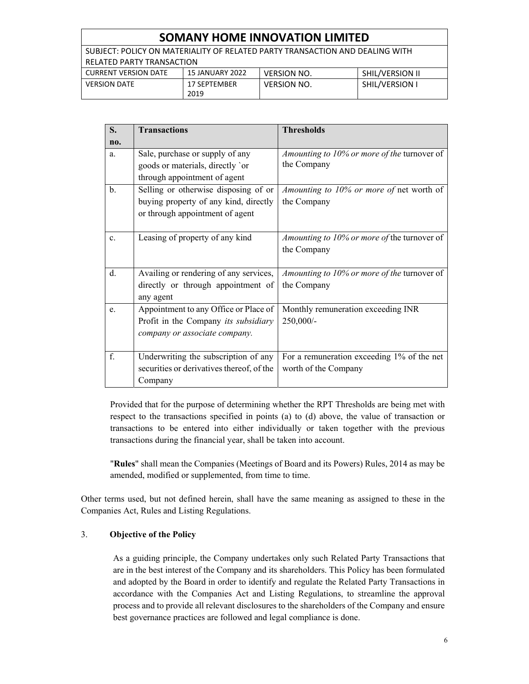# **SOMANY HOME INNOVATION LIMITED**

SUBJECT: POLICY ON MATERIALITY OF RELATED PARTY TRANSACTION AND DEALING WITH RELATED PARTY TRANSACTION<br>CURRENT VERSION DATE 15 JANUARY 2022 CURRENT VERSION DATE 15 JANUARY 2022 VERSION NO. SHIL/VERSION II

| <b>CURRENT VERSION DATE</b> | LO JANUANT ZUZZ      | VERSIUN NU. | SHILI VERSIUN II |
|-----------------------------|----------------------|-------------|------------------|
| <b>VERSION DATE</b>         | 17 SEPTEMBER<br>2019 | VERSION NO. | SHIL/VERSION     |

| S.             | <b>Transactions</b>                       | <b>Thresholds</b>                           |
|----------------|-------------------------------------------|---------------------------------------------|
| no.            |                                           |                                             |
| a.             | Sale, purchase or supply of any           | Amounting to 10% or more of the turnover of |
|                | goods or materials, directly 'or          | the Company                                 |
|                | through appointment of agent              |                                             |
| b.             | Selling or otherwise disposing of or      | Amounting to 10% or more of net worth of    |
|                | buying property of any kind, directly     | the Company                                 |
|                | or through appointment of agent           |                                             |
|                |                                           |                                             |
| $\mathbf{c}$ . | Leasing of property of any kind           | Amounting to 10% or more of the turnover of |
|                |                                           | the Company                                 |
|                |                                           |                                             |
| d.             | Availing or rendering of any services,    | Amounting to 10% or more of the turnover of |
|                | directly or through appointment of        | the Company                                 |
|                | any agent                                 |                                             |
| e.             | Appointment to any Office or Place of     | Monthly remuneration exceeding INR          |
|                | Profit in the Company its subsidiary      | 250,000/-                                   |
|                | company or associate company.             |                                             |
|                |                                           |                                             |
| f.             | Underwriting the subscription of any      | For a remuneration exceeding 1% of the net  |
|                | securities or derivatives thereof, of the | worth of the Company                        |
|                | Company                                   |                                             |

Provided that for the purpose of determining whether the RPT Thresholds are being met with respect to the transactions specified in points (a) to (d) above, the value of transaction or transactions to be entered into either individually or taken together with the previous transactions during the financial year, shall be taken into account.

"**Rules**" shall mean the Companies (Meetings of Board and its Powers) Rules, 2014 as may be amended, modified or supplemented, from time to time.

Other terms used, but not defined herein, shall have the same meaning as assigned to these in the Companies Act, Rules and Listing Regulations.

# 3. **Objective of the Policy**

As a guiding principle, the Company undertakes only such Related Party Transactions that are in the best interest of the Company and its shareholders. This Policy has been formulated and adopted by the Board in order to identify and regulate the Related Party Transactions in accordance with the Companies Act and Listing Regulations, to streamline the approval process and to provide all relevant disclosures to the shareholders of the Company and ensure best governance practices are followed and legal compliance is done.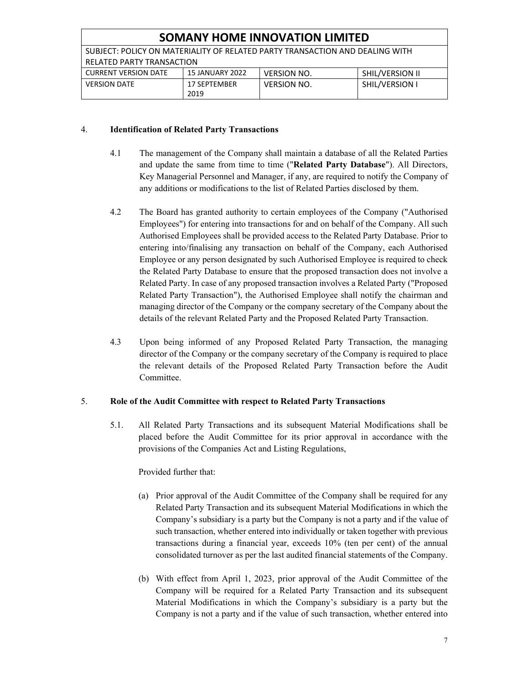| <b>SOMANY HOME INNOVATION LIMITED</b>                                        |                        |                    |                        |
|------------------------------------------------------------------------------|------------------------|--------------------|------------------------|
| SUBJECT: POLICY ON MATERIALITY OF RELATED PARTY TRANSACTION AND DEALING WITH |                        |                    |                        |
| RELATED PARTY TRANSACTION                                                    |                        |                    |                        |
| <b>CURRENT VERSION DATE</b>                                                  | <b>15 JANUARY 2022</b> | <b>VERSION NO.</b> | <b>SHIL/VERSION II</b> |
| <b>VERSION DATE</b>                                                          | 17 SEPTEMBER           | <b>VERSION NO.</b> | SHIL/VERSION I         |
|                                                                              | 2019                   |                    |                        |

#### 4. **Identification of Related Party Transactions**

- 4.1 The management of the Company shall maintain a database of all the Related Parties and update the same from time to time ("**Related Party Database**"). All Directors, Key Managerial Personnel and Manager, if any, are required to notify the Company of any additions or modifications to the list of Related Parties disclosed by them.
- 4.2 The Board has granted authority to certain employees of the Company ("Authorised Employees") for entering into transactions for and on behalf of the Company. All such Authorised Employees shall be provided access to the Related Party Database. Prior to entering into/finalising any transaction on behalf of the Company, each Authorised Employee or any person designated by such Authorised Employee is required to check the Related Party Database to ensure that the proposed transaction does not involve a Related Party. In case of any proposed transaction involves a Related Party ("Proposed Related Party Transaction"), the Authorised Employee shall notify the chairman and managing director of the Company or the company secretary of the Company about the details of the relevant Related Party and the Proposed Related Party Transaction.
- 4.3 Upon being informed of any Proposed Related Party Transaction, the managing director of the Company or the company secretary of the Company is required to place the relevant details of the Proposed Related Party Transaction before the Audit Committee.

# 5. **Role of the Audit Committee with respect to Related Party Transactions**

5.1. All Related Party Transactions and its subsequent Material Modifications shall be placed before the Audit Committee for its prior approval in accordance with the provisions of the Companies Act and Listing Regulations,

# Provided further that:

- (a) Prior approval of the Audit Committee of the Company shall be required for any Related Party Transaction and its subsequent Material Modifications in which the Company's subsidiary is a party but the Company is not a party and if the value of such transaction, whether entered into individually or taken together with previous transactions during a financial year, exceeds 10% (ten per cent) of the annual consolidated turnover as per the last audited financial statements of the Company.
- (b) With effect from April 1, 2023, prior approval of the Audit Committee of the Company will be required for a Related Party Transaction and its subsequent Material Modifications in which the Company's subsidiary is a party but the Company is not a party and if the value of such transaction, whether entered into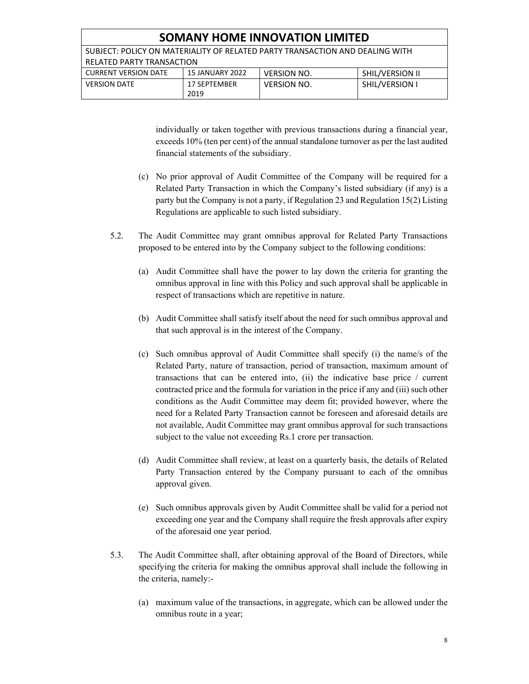| <b>SOMANY HOME INNOVATION LIMITED</b>                                        |                        |                    |                       |
|------------------------------------------------------------------------------|------------------------|--------------------|-----------------------|
| SUBJECT: POLICY ON MATERIALITY OF RELATED PARTY TRANSACTION AND DEALING WITH |                        |                    |                       |
| <b>RELATED PARTY TRANSACTION</b>                                             |                        |                    |                       |
| <b>CURRENT VERSION DATE</b>                                                  | <b>15 JANUARY 2022</b> | <b>VERSION NO.</b> | SHIL/VERSION II       |
| <b>VERSION DATE</b>                                                          | 17 SEPTEMBER           | <b>VERSION NO.</b> | <b>SHIL/VERSION I</b> |
|                                                                              | 2019                   |                    |                       |

individually or taken together with previous transactions during a financial year, exceeds 10% (ten per cent) of the annual standalone turnover as per the last audited financial statements of the subsidiary.

- (c) No prior approval of Audit Committee of the Company will be required for a Related Party Transaction in which the Company's listed subsidiary (if any) is a party but the Company is not a party, if Regulation 23 and Regulation 15(2) Listing Regulations are applicable to such listed subsidiary.
- 5.2. The Audit Committee may grant omnibus approval for Related Party Transactions proposed to be entered into by the Company subject to the following conditions:
	- (a) Audit Committee shall have the power to lay down the criteria for granting the omnibus approval in line with this Policy and such approval shall be applicable in respect of transactions which are repetitive in nature.
	- (b) Audit Committee shall satisfy itself about the need for such omnibus approval and that such approval is in the interest of the Company.
	- (c) Such omnibus approval of Audit Committee shall specify (i) the name/s of the Related Party, nature of transaction, period of transaction, maximum amount of transactions that can be entered into, (ii) the indicative base price / current contracted price and the formula for variation in the price if any and (iii) such other conditions as the Audit Committee may deem fit; provided however, where the need for a Related Party Transaction cannot be foreseen and aforesaid details are not available, Audit Committee may grant omnibus approval for such transactions subject to the value not exceeding Rs.1 crore per transaction.
	- (d) Audit Committee shall review, at least on a quarterly basis, the details of Related Party Transaction entered by the Company pursuant to each of the omnibus approval given.
	- (e) Such omnibus approvals given by Audit Committee shall be valid for a period not exceeding one year and the Company shall require the fresh approvals after expiry of the aforesaid one year period.
- 5.3. The Audit Committee shall, after obtaining approval of the Board of Directors, while specifying the criteria for making the omnibus approval shall include the following in the criteria, namely:-
	- (a) maximum value of the transactions, in aggregate, which can be allowed under the omnibus route in a year;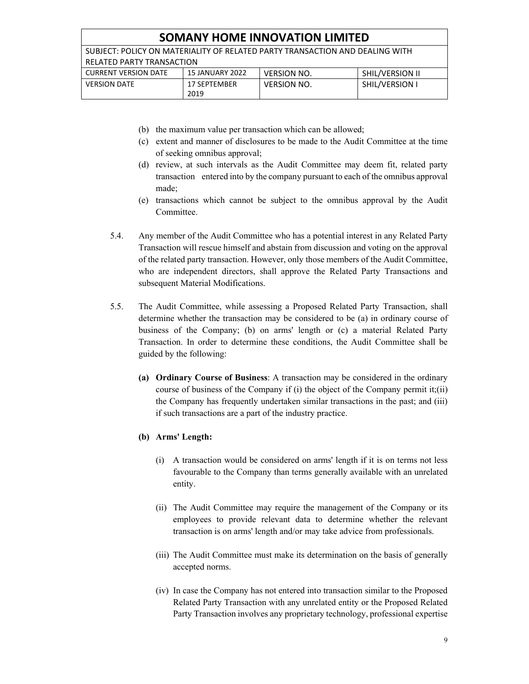| <b>SOMANY HOME INNOVATION LIMITED</b>                                        |                 |                    |                 |
|------------------------------------------------------------------------------|-----------------|--------------------|-----------------|
| SUBJECT: POLICY ON MATERIALITY OF RELATED PARTY TRANSACTION AND DEALING WITH |                 |                    |                 |
| <b>RELATED PARTY TRANSACTION</b>                                             |                 |                    |                 |
| <b>CURRENT VERSION DATE</b>                                                  | 15 JANUARY 2022 | <b>VERSION NO.</b> | SHIL/VERSION II |
| <b>VERSION DATE</b>                                                          | 17 SEPTEMBER    | <b>VERSION NO.</b> | SHIL/VERSION I  |
|                                                                              | 2019            |                    |                 |

- (b) the maximum value per transaction which can be allowed;
- (c) extent and manner of disclosures to be made to the Audit Committee at the time of seeking omnibus approval;
- (d) review, at such intervals as the Audit Committee may deem fit, related party transaction entered into by the company pursuant to each of the omnibus approval made;
- (e) transactions which cannot be subject to the omnibus approval by the Audit Committee.
- 5.4. Any member of the Audit Committee who has a potential interest in any Related Party Transaction will rescue himself and abstain from discussion and voting on the approval of the related party transaction. However, only those members of the Audit Committee, who are independent directors, shall approve the Related Party Transactions and subsequent Material Modifications.
- 5.5. The Audit Committee, while assessing a Proposed Related Party Transaction, shall determine whether the transaction may be considered to be (a) in ordinary course of business of the Company; (b) on arms' length or (c) a material Related Party Transaction. In order to determine these conditions, the Audit Committee shall be guided by the following:
	- **(a) Ordinary Course of Business**: A transaction may be considered in the ordinary course of business of the Company if (i) the object of the Company permit it;(ii) the Company has frequently undertaken similar transactions in the past; and (iii) if such transactions are a part of the industry practice.
	- **(b) Arms' Length:** 
		- (i) A transaction would be considered on arms' length if it is on terms not less favourable to the Company than terms generally available with an unrelated entity.
		- (ii) The Audit Committee may require the management of the Company or its employees to provide relevant data to determine whether the relevant transaction is on arms' length and/or may take advice from professionals.
		- (iii) The Audit Committee must make its determination on the basis of generally accepted norms.
		- (iv) In case the Company has not entered into transaction similar to the Proposed Related Party Transaction with any unrelated entity or the Proposed Related Party Transaction involves any proprietary technology, professional expertise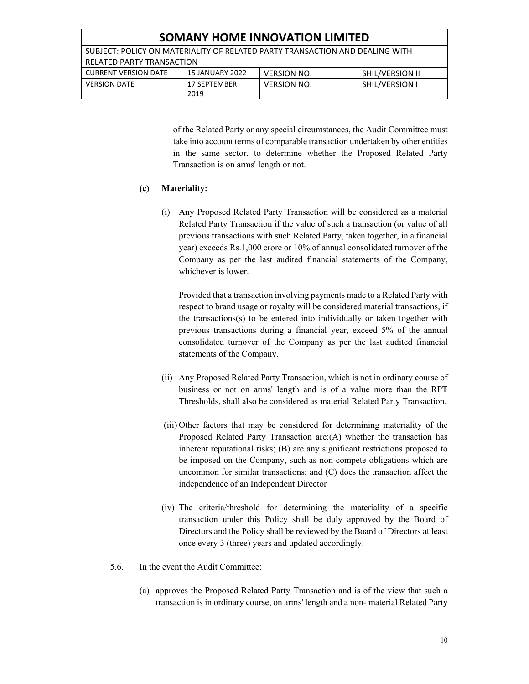| <b>SOMANY HOME INNOVATION LIMITED</b>                                        |                      |                    |                 |
|------------------------------------------------------------------------------|----------------------|--------------------|-----------------|
| SUBJECT: POLICY ON MATERIALITY OF RELATED PARTY TRANSACTION AND DEALING WITH |                      |                    |                 |
| RELATED PARTY TRANSACTION                                                    |                      |                    |                 |
| <b>CURRENT VERSION DATE</b>                                                  | 15 JANUARY 2022      | <b>VERSION NO.</b> | SHIL/VERSION II |
| <b>VERSION DATE</b>                                                          | 17 SEPTEMBER<br>2019 | <b>VERSION NO.</b> | SHIL/VERSION I  |

of the Related Party or any special circumstances, the Audit Committee must take into account terms of comparable transaction undertaken by other entities in the same sector, to determine whether the Proposed Related Party Transaction is on arms' length or not.

#### **(c) Materiality:**

(i) Any Proposed Related Party Transaction will be considered as a material Related Party Transaction if the value of such a transaction (or value of all previous transactions with such Related Party, taken together, in a financial year) exceeds Rs.1,000 crore or 10% of annual consolidated turnover of the Company as per the last audited financial statements of the Company, whichever is lower.

Provided that a transaction involving payments made to a Related Party with respect to brand usage or royalty will be considered material transactions, if the transactions(s) to be entered into individually or taken together with previous transactions during a financial year, exceed 5% of the annual consolidated turnover of the Company as per the last audited financial statements of the Company.

- (ii) Any Proposed Related Party Transaction, which is not in ordinary course of business or not on arms' length and is of a value more than the RPT Thresholds, shall also be considered as material Related Party Transaction.
- (iii) Other factors that may be considered for determining materiality of the Proposed Related Party Transaction are:(A) whether the transaction has inherent reputational risks; (B) are any significant restrictions proposed to be imposed on the Company, such as non-compete obligations which are uncommon for similar transactions; and (C) does the transaction affect the independence of an Independent Director
- (iv) The criteria/threshold for determining the materiality of a specific transaction under this Policy shall be duly approved by the Board of Directors and the Policy shall be reviewed by the Board of Directors at least once every 3 (three) years and updated accordingly.
- 5.6. In the event the Audit Committee:
	- (a) approves the Proposed Related Party Transaction and is of the view that such a transaction is in ordinary course, on arms' length and a non- material Related Party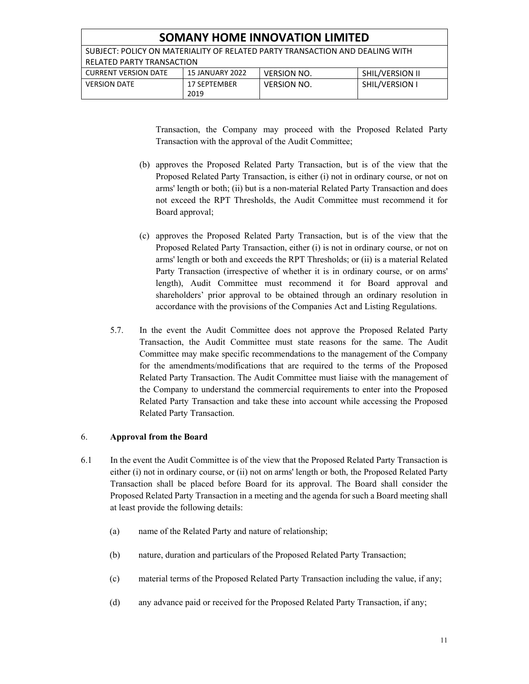| <b>SOMANY HOME INNOVATION LIMITED</b>                                        |                      |                    |                       |
|------------------------------------------------------------------------------|----------------------|--------------------|-----------------------|
| SUBJECT: POLICY ON MATERIALITY OF RELATED PARTY TRANSACTION AND DEALING WITH |                      |                    |                       |
| RELATED PARTY TRANSACTION                                                    |                      |                    |                       |
| <b>CURRENT VERSION DATE</b>                                                  | 15 JANUARY 2022      | <b>VERSION NO.</b> | SHIL/VERSION II       |
| <b>VERSION DATE</b>                                                          | 17 SEPTEMBER<br>2019 | <b>VERSION NO.</b> | <b>SHIL/VERSION I</b> |
|                                                                              |                      |                    |                       |

Transaction, the Company may proceed with the Proposed Related Party Transaction with the approval of the Audit Committee;

- (b) approves the Proposed Related Party Transaction, but is of the view that the Proposed Related Party Transaction, is either (i) not in ordinary course, or not on arms' length or both; (ii) but is a non-material Related Party Transaction and does not exceed the RPT Thresholds, the Audit Committee must recommend it for Board approval;
- (c) approves the Proposed Related Party Transaction, but is of the view that the Proposed Related Party Transaction, either (i) is not in ordinary course, or not on arms' length or both and exceeds the RPT Thresholds; or (ii) is a material Related Party Transaction (irrespective of whether it is in ordinary course, or on arms' length), Audit Committee must recommend it for Board approval and shareholders' prior approval to be obtained through an ordinary resolution in accordance with the provisions of the Companies Act and Listing Regulations.
- 5.7. In the event the Audit Committee does not approve the Proposed Related Party Transaction, the Audit Committee must state reasons for the same. The Audit Committee may make specific recommendations to the management of the Company for the amendments/modifications that are required to the terms of the Proposed Related Party Transaction. The Audit Committee must liaise with the management of the Company to understand the commercial requirements to enter into the Proposed Related Party Transaction and take these into account while accessing the Proposed Related Party Transaction.

# 6. **Approval from the Board**

- 6.1 In the event the Audit Committee is of the view that the Proposed Related Party Transaction is either (i) not in ordinary course, or (ii) not on arms' length or both, the Proposed Related Party Transaction shall be placed before Board for its approval. The Board shall consider the Proposed Related Party Transaction in a meeting and the agenda for such a Board meeting shall at least provide the following details:
	- (a) name of the Related Party and nature of relationship;
	- (b) nature, duration and particulars of the Proposed Related Party Transaction;
	- (c) material terms of the Proposed Related Party Transaction including the value, if any;
	- (d) any advance paid or received for the Proposed Related Party Transaction, if any;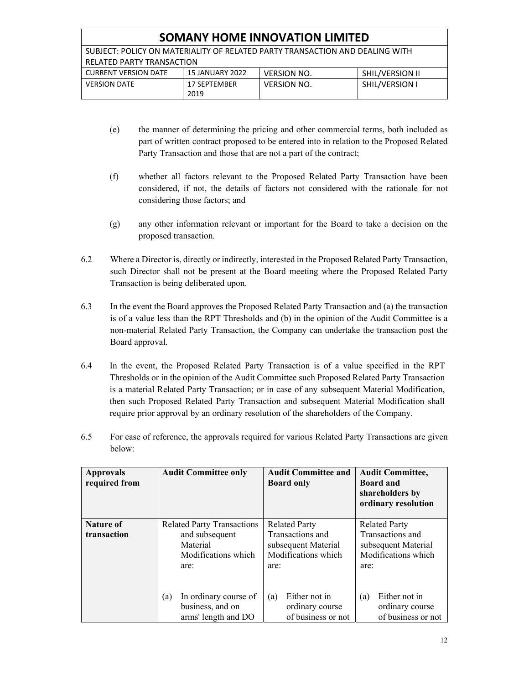| <b>SOMANY HOME INNOVATION LIMITED</b>                                        |                 |                    |                       |
|------------------------------------------------------------------------------|-----------------|--------------------|-----------------------|
| SUBJECT: POLICY ON MATERIALITY OF RELATED PARTY TRANSACTION AND DEALING WITH |                 |                    |                       |
| RELATED PARTY TRANSACTION                                                    |                 |                    |                       |
| <b>CURRENT VERSION DATE</b>                                                  | 15 JANUARY 2022 | <b>VERSION NO.</b> | SHIL/VERSION II       |
| <b>VERSION DATE</b>                                                          | 17 SEPTEMBER    | <b>VERSION NO.</b> | <b>SHIL/VERSION I</b> |
|                                                                              | 2019            |                    |                       |

- (e) the manner of determining the pricing and other commercial terms, both included as part of written contract proposed to be entered into in relation to the Proposed Related Party Transaction and those that are not a part of the contract;
- (f) whether all factors relevant to the Proposed Related Party Transaction have been considered, if not, the details of factors not considered with the rationale for not considering those factors; and
- (g) any other information relevant or important for the Board to take a decision on the proposed transaction.
- 6.2 Where a Director is, directly or indirectly, interested in the Proposed Related Party Transaction, such Director shall not be present at the Board meeting where the Proposed Related Party Transaction is being deliberated upon.
- 6.3 In the event the Board approves the Proposed Related Party Transaction and (a) the transaction is of a value less than the RPT Thresholds and (b) in the opinion of the Audit Committee is a non-material Related Party Transaction, the Company can undertake the transaction post the Board approval.
- 6.4 In the event, the Proposed Related Party Transaction is of a value specified in the RPT Thresholds or in the opinion of the Audit Committee such Proposed Related Party Transaction is a material Related Party Transaction; or in case of any subsequent Material Modification, then such Proposed Related Party Transaction and subsequent Material Modification shall require prior approval by an ordinary resolution of the shareholders of the Company.
- 6.5 For ease of reference, the approvals required for various Related Party Transactions are given below:

| <b>Approvals</b><br>required from | <b>Audit Committee only</b>                                                                    | <b>Audit Committee and</b><br><b>Board only</b>                                                | <b>Audit Committee,</b><br><b>Board and</b><br>shareholders by<br>ordinary resolution          |
|-----------------------------------|------------------------------------------------------------------------------------------------|------------------------------------------------------------------------------------------------|------------------------------------------------------------------------------------------------|
| <b>Nature of</b><br>transaction   | <b>Related Party Transactions</b><br>and subsequent<br>Material<br>Modifications which<br>are: | <b>Related Party</b><br>Transactions and<br>subsequent Material<br>Modifications which<br>are: | <b>Related Party</b><br>Transactions and<br>subsequent Material<br>Modifications which<br>are: |
|                                   | In ordinary course of<br>(a)<br>business, and on<br>arms' length and DO                        | Either not in<br>(a)<br>ordinary course<br>of business or not                                  | Either not in<br>(a)<br>ordinary course<br>of business or not                                  |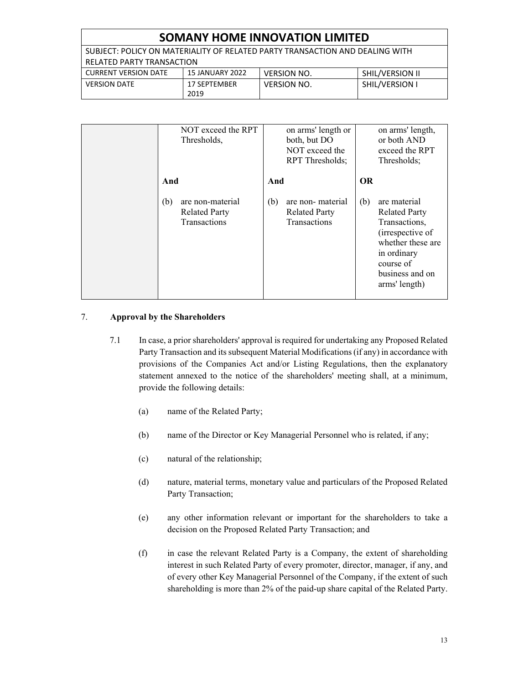| <b>SOMANY HOME INNOVATION LIMITED</b>                                        |                 |                    |                 |
|------------------------------------------------------------------------------|-----------------|--------------------|-----------------|
| SUBJECT: POLICY ON MATERIALITY OF RELATED PARTY TRANSACTION AND DEALING WITH |                 |                    |                 |
| RELATED PARTY TRANSACTION                                                    |                 |                    |                 |
| <b>CURRENT VERSION DATE</b>                                                  | 15 JANUARY 2022 | <b>VERSION NO.</b> | SHIL/VERSION II |
| <b>VERSION DATE</b>                                                          | 17 SEPTEMBER    | <b>VERSION NO.</b> | SHIL/VERSION I  |
|                                                                              | 2019            |                    |                 |

| NOT exceed the RPT<br>Thresholds,                                      | on arms' length or<br>both, but DO<br>NOT exceed the<br>RPT Thresholds; | on arms' length,<br>or both AND<br>exceed the RPT<br>Thresholds;                                                                                                      |
|------------------------------------------------------------------------|-------------------------------------------------------------------------|-----------------------------------------------------------------------------------------------------------------------------------------------------------------------|
| And                                                                    | And                                                                     | <b>OR</b>                                                                                                                                                             |
| are non-material<br>(b)<br><b>Related Party</b><br><b>Transactions</b> | are non- material<br>(b)<br><b>Related Party</b><br><b>Transactions</b> | are material<br>(b)<br><b>Related Party</b><br>Transactions,<br>(irrespective of<br>whether these are<br>in ordinary<br>course of<br>business and on<br>arms' length) |

# 7. **Approval by the Shareholders**

- 7.1 In case, a prior shareholders' approval is required for undertaking any Proposed Related Party Transaction and its subsequent Material Modifications (if any) in accordance with provisions of the Companies Act and/or Listing Regulations, then the explanatory statement annexed to the notice of the shareholders' meeting shall, at a minimum, provide the following details:
	- (a) name of the Related Party;
	- (b) name of the Director or Key Managerial Personnel who is related, if any;
	- (c) natural of the relationship;
	- (d) nature, material terms, monetary value and particulars of the Proposed Related Party Transaction;
	- (e) any other information relevant or important for the shareholders to take a decision on the Proposed Related Party Transaction; and
	- (f) in case the relevant Related Party is a Company, the extent of shareholding interest in such Related Party of every promoter, director, manager, if any, and of every other Key Managerial Personnel of the Company, if the extent of such shareholding is more than 2% of the paid-up share capital of the Related Party.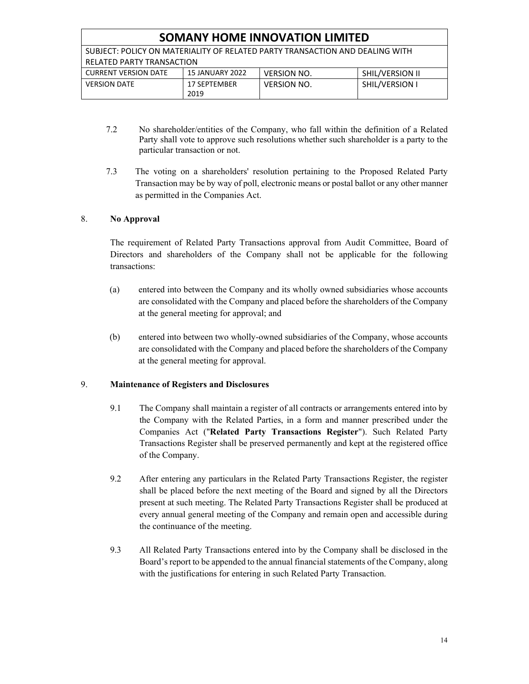| <b>SOMANY HOME INNOVATION LIMITED</b>                                        |                        |                    |                 |
|------------------------------------------------------------------------------|------------------------|--------------------|-----------------|
| SUBJECT: POLICY ON MATERIALITY OF RELATED PARTY TRANSACTION AND DEALING WITH |                        |                    |                 |
| <b>RELATED PARTY TRANSACTION</b>                                             |                        |                    |                 |
| <b>CURRENT VERSION DATE</b>                                                  | <b>15 JANUARY 2022</b> | <b>VERSION NO.</b> | SHIL/VERSION II |
| <b>VERSION DATE</b>                                                          | 17 SEPTEMBER<br>2019   | <b>VERSION NO.</b> | SHIL/VERSION I  |

- 7.2 No shareholder/entities of the Company, who fall within the definition of a Related Party shall vote to approve such resolutions whether such shareholder is a party to the particular transaction or not.
- 7.3 The voting on a shareholders' resolution pertaining to the Proposed Related Party Transaction may be by way of poll, electronic means or postal ballot or any other manner as permitted in the Companies Act.

# 8. **No Approval**

 The requirement of Related Party Transactions approval from Audit Committee, Board of Directors and shareholders of the Company shall not be applicable for the following transactions:

- (a) entered into between the Company and its wholly owned subsidiaries whose accounts are consolidated with the Company and placed before the shareholders of the Company at the general meeting for approval; and
- (b) entered into between two wholly-owned subsidiaries of the Company, whose accounts are consolidated with the Company and placed before the shareholders of the Company at the general meeting for approval.

# 9. **Maintenance of Registers and Disclosures**

- 9.1 The Company shall maintain a register of all contracts or arrangements entered into by the Company with the Related Parties, in a form and manner prescribed under the Companies Act ("**Related Party Transactions Register**"). Such Related Party Transactions Register shall be preserved permanently and kept at the registered office of the Company.
- 9.2 After entering any particulars in the Related Party Transactions Register, the register shall be placed before the next meeting of the Board and signed by all the Directors present at such meeting. The Related Party Transactions Register shall be produced at every annual general meeting of the Company and remain open and accessible during the continuance of the meeting.
- 9.3 All Related Party Transactions entered into by the Company shall be disclosed in the Board's report to be appended to the annual financial statements of the Company, along with the justifications for entering in such Related Party Transaction.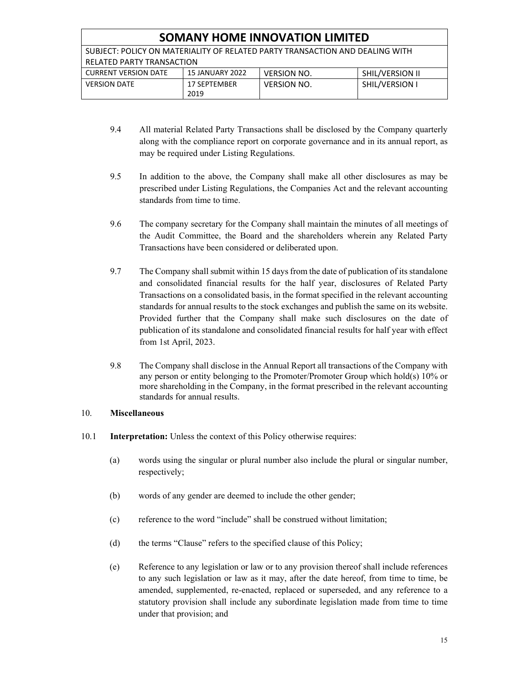| <b>SOMANY HOME INNOVATION LIMITED</b>                                        |                 |                    |                 |
|------------------------------------------------------------------------------|-----------------|--------------------|-----------------|
| SUBJECT: POLICY ON MATERIALITY OF RELATED PARTY TRANSACTION AND DEALING WITH |                 |                    |                 |
| RELATED PARTY TRANSACTION                                                    |                 |                    |                 |
| <b>CURRENT VERSION DATE</b>                                                  | 15 JANUARY 2022 | <b>VERSION NO.</b> | SHIL/VERSION II |
| <b>VERSION DATE</b>                                                          | 17 SEPTEMBER    | <b>VERSION NO.</b> | SHIL/VERSION I  |
|                                                                              | 2019            |                    |                 |

- 9.4 All material Related Party Transactions shall be disclosed by the Company quarterly along with the compliance report on corporate governance and in its annual report, as may be required under Listing Regulations.
- 9.5 In addition to the above, the Company shall make all other disclosures as may be prescribed under Listing Regulations, the Companies Act and the relevant accounting standards from time to time.
- 9.6 The company secretary for the Company shall maintain the minutes of all meetings of the Audit Committee, the Board and the shareholders wherein any Related Party Transactions have been considered or deliberated upon.
- 9.7 The Company shall submit within 15 days from the date of publication of its standalone and consolidated financial results for the half year, disclosures of Related Party Transactions on a consolidated basis, in the format specified in the relevant accounting standards for annual results to the stock exchanges and publish the same on its website. Provided further that the Company shall make such disclosures on the date of publication of its standalone and consolidated financial results for half year with effect from 1st April, 2023.
- 9.8 The Company shall disclose in the Annual Report all transactions of the Company with any person or entity belonging to the Promoter/Promoter Group which hold(s) 10% or more shareholding in the Company, in the format prescribed in the relevant accounting standards for annual results.

#### 10. **Miscellaneous**

- 10.1 **Interpretation:** Unless the context of this Policy otherwise requires:
	- (a) words using the singular or plural number also include the plural or singular number, respectively;
	- (b) words of any gender are deemed to include the other gender;
	- (c) reference to the word "include" shall be construed without limitation;
	- (d) the terms "Clause" refers to the specified clause of this Policy;
	- (e) Reference to any legislation or law or to any provision thereof shall include references to any such legislation or law as it may, after the date hereof, from time to time, be amended, supplemented, re-enacted, replaced or superseded, and any reference to a statutory provision shall include any subordinate legislation made from time to time under that provision; and